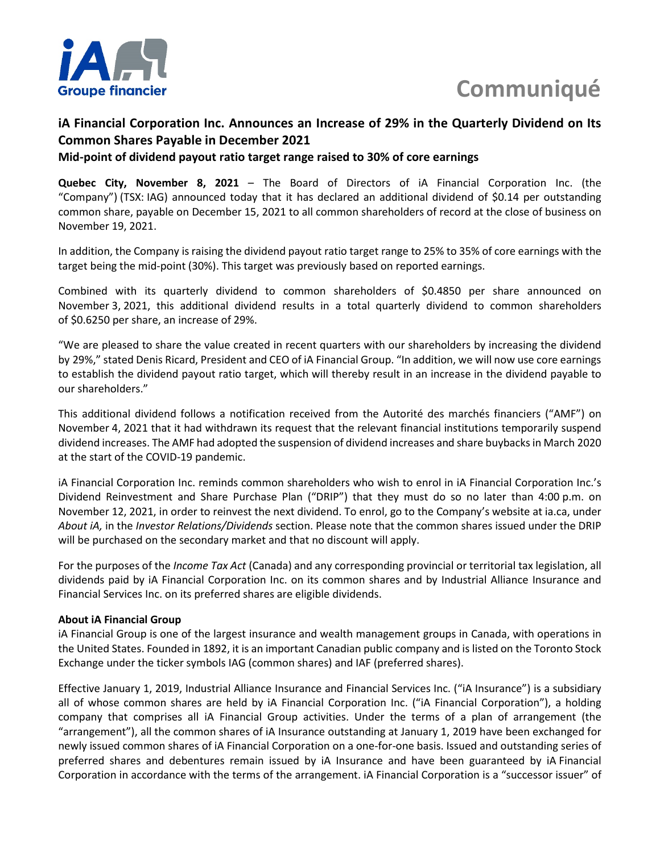

# **Communiqué**

# **iA Financial Corporation Inc. Announces an Increase of 29% in the Quarterly Dividend on Its Common Shares Payable in December 2021**

## **Mid-point of dividend payout ratio target range raised to 30% of core earnings**

**Quebec City, November 8, 2021** – The Board of Directors of iA Financial Corporation Inc. (the "Company") (TSX: IAG) announced today that it has declared an additional dividend of \$0.14 per outstanding common share, payable on December 15, 2021 to all common shareholders of record at the close of business on November 19, 2021.

In addition, the Company is raising the dividend payout ratio target range to 25% to 35% of core earnings with the target being the mid-point (30%). This target was previously based on reported earnings.

Combined with its quarterly dividend to common shareholders of \$0.4850 per share announced on November 3, 2021, this additional dividend results in a total quarterly dividend to common shareholders of \$0.6250 per share, an increase of 29%.

"We are pleased to share the value created in recent quarters with our shareholders by increasing the dividend by 29%," stated Denis Ricard, President and CEO of iA Financial Group. "In addition, we will now use core earnings to establish the dividend payout ratio target, which will thereby result in an increase in the dividend payable to our shareholders."

This additional dividend follows a notification received from the Autorité des marchés financiers ("AMF") on November 4, 2021 that it had withdrawn its request that the relevant financial institutions temporarily suspend dividend increases. The AMF had adopted the suspension of dividend increases and share buybacks in March 2020 at the start of the COVID-19 pandemic.

iA Financial Corporation Inc. reminds common shareholders who wish to enrol in iA Financial Corporation Inc.'s Dividend Reinvestment and Share Purchase Plan ("DRIP") that they must do so no later than 4:00 p.m. on November 12, 2021, in order to reinvest the next dividend. To enrol, go to the Company's website at ia.ca, under *About iA,* in the *Investor Relations/Dividends* section. Please note that the common shares issued under the DRIP will be purchased on the secondary market and that no discount will apply.

For the purposes of the *Income Tax Act* (Canada) and any corresponding provincial or territorial tax legislation, all dividends paid by iA Financial Corporation Inc. on its common shares and by Industrial Alliance Insurance and Financial Services Inc. on its preferred shares are eligible dividends.

### **About iA Financial Group**

iA Financial Group is one of the largest insurance and wealth management groups in Canada, with operations in the United States. Founded in 1892, it is an important Canadian public company and is listed on the Toronto Stock Exchange under the ticker symbols IAG (common shares) and IAF (preferred shares).

Effective January 1, 2019, Industrial Alliance Insurance and Financial Services Inc. ("iA Insurance") is a subsidiary all of whose common shares are held by iA Financial Corporation Inc. ("iA Financial Corporation"), a holding company that comprises all iA Financial Group activities. Under the terms of a plan of arrangement (the "arrangement"), all the common shares of iA Insurance outstanding at January 1, 2019 have been exchanged for newly issued common shares of iA Financial Corporation on a one-for-one basis. Issued and outstanding series of preferred shares and debentures remain issued by iA Insurance and have been guaranteed by iA Financial Corporation in accordance with the terms of the arrangement. iA Financial Corporation is a "successor issuer" of